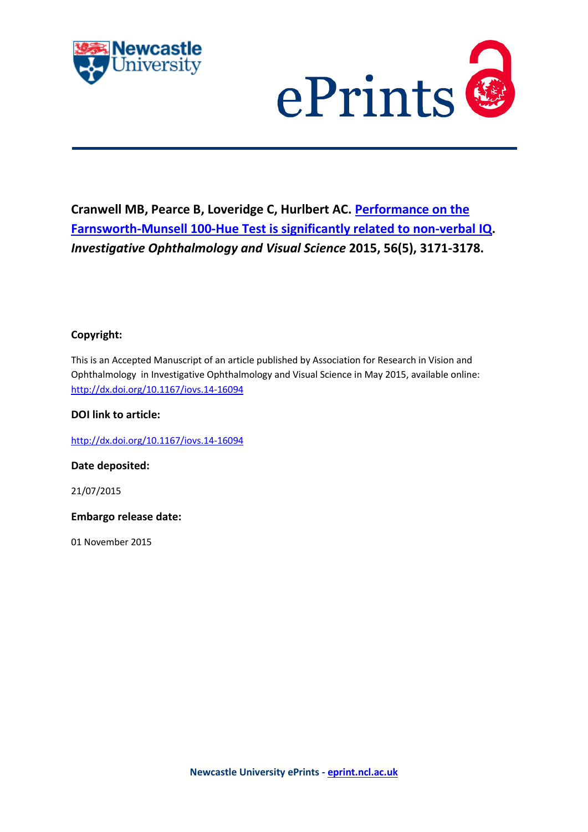



# **Cranwell MB, Pearce B, Loveridge C, Hurlbert AC. [Performance on the](javascript:ViewPublication(211897);)  [Farnsworth-Munsell 100-Hue Test is significantly related to non-verbal IQ.](javascript:ViewPublication(211897);)**  *Investigative Ophthalmology and Visual Science* **2015, 56(5), 3171-3178.**

# **Copyright:**

This is an Accepted Manuscript of an article published by Association for Research in Vision and Ophthalmology in Investigative Ophthalmology and Visual Science in May 2015, available online: <http://dx.doi.org/10.1167/iovs.14-16094>

# **DOI link to article:**

<http://dx.doi.org/10.1167/iovs.14-16094>

**Date deposited:** 

21/07/2015

**Embargo release date:**

01 November 2015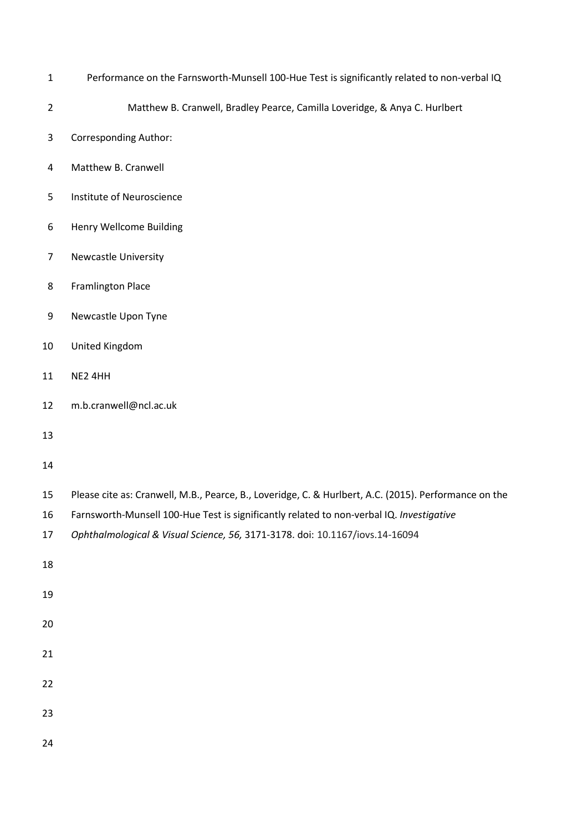- Performance on the Farnsworth-Munsell 100-Hue Test is significantly related to non-verbal IQ
- Matthew B. Cranwell, Bradley Pearce, Camilla Loveridge, & Anya C. Hurlbert
- Corresponding Author:
- Matthew B. Cranwell
- Institute of Neuroscience
- Henry Wellcome Building
- Newcastle University
- Framlington Place
- Newcastle Upon Tyne
- United Kingdom
- NE2 4HH
- m.b.cranwell@ncl.ac.uk
- 

## 

- Please cite as: Cranwell, M.B., Pearce, B., Loveridge, C. & Hurlbert, A.C. (2015). Performance on the
- Farnsworth-Munsell 100-Hue Test is significantly related to non-verbal IQ. *Investigative*
- *Ophthalmological & Visual Science, 56,* 3171-3178. doi: 10.1167/iovs.14-16094
- 
- 
- 
- 
- 
-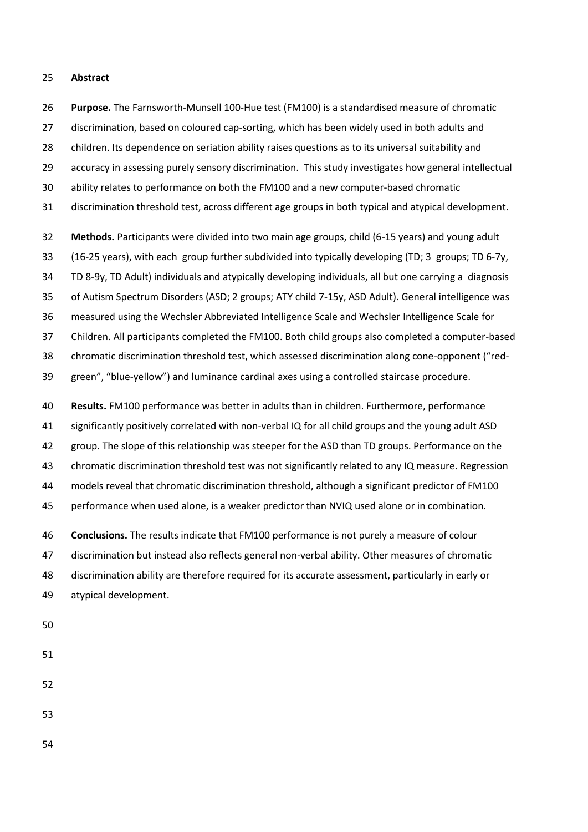#### **Abstract**

 **Purpose.** The Farnsworth-Munsell 100-Hue test (FM100) is a standardised measure of chromatic discrimination, based on coloured cap-sorting, which has been widely used in both adults and

children. Its dependence on seriation ability raises questions as to its universal suitability and

accuracy in assessing purely sensory discrimination. This study investigates how general intellectual

ability relates to performance on both the FM100 and a new computer-based chromatic

discrimination threshold test, across different age groups in both typical and atypical development.

 **Methods.** Participants were divided into two main age groups, child (6-15 years) and young adult (16-25 years), with each group further subdivided into typically developing (TD; 3 groups; TD 6-7y, TD 8-9y, TD Adult) individuals and atypically developing individuals, all but one carrying a diagnosis of Autism Spectrum Disorders (ASD; 2 groups; ATY child 7-15y, ASD Adult). General intelligence was measured using the Wechsler Abbreviated Intelligence Scale and Wechsler Intelligence Scale for Children. All participants completed the FM100. Both child groups also completed a computer-based chromatic discrimination threshold test, which assessed discrimination along cone-opponent ("red-green", "blue-yellow") and luminance cardinal axes using a controlled staircase procedure.

 **Results.** FM100 performance was better in adults than in children. Furthermore, performance significantly positively correlated with non-verbal IQ for all child groups and the young adult ASD group. The slope of this relationship was steeper for the ASD than TD groups. Performance on the chromatic discrimination threshold test was not significantly related to any IQ measure. Regression models reveal that chromatic discrimination threshold, although a significant predictor of FM100 performance when used alone, is a weaker predictor than NVIQ used alone or in combination.

 **Conclusions.** The results indicate that FM100 performance is not purely a measure of colour discrimination but instead also reflects general non-verbal ability. Other measures of chromatic discrimination ability are therefore required for its accurate assessment, particularly in early or atypical development.

- 
- 
- 
-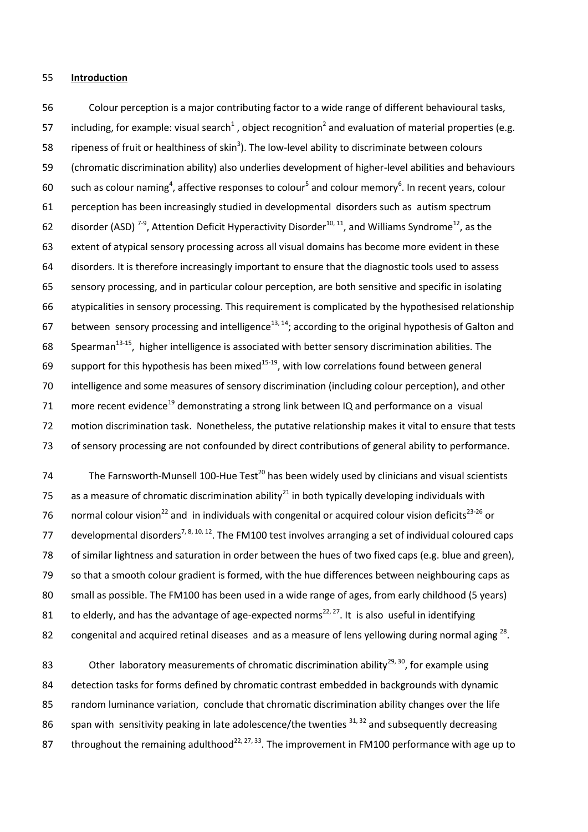#### 55 **Introduction**

 Colour perception is a major contributing factor to a wide range of different behavioural tasks, 57 including, for example: visual search<sup>[1](#page-18-0)</sup>, object recog[n](#page-18-1)ition<sup>[2](#page-18-1)</sup> and evaluation of material properties (e.g.  $\cdot$  ripeness of fruit or healthiness of skin<sup>3</sup>[\)](#page-18-2). The low-level ability to discriminate between colours (chromatic discrimination ability) also underlies development of higher-level abilities and behaviours 60 such as colour namin[g](#page-18-3)<sup>4</sup>, affective [r](#page-18-4)esponses to colour<sup>5</sup> and colour memory<sup>6</sup>[.](#page-18-5) In recent years, colour perception has been increasingly studied in developmental disorders such as autism spectrum 62 disorder (ASD)<sup>[7-9](#page-18-6)</sup>[,](#page-18-6) Attention Deficit Hyperactivity Disorder<sup>[10,](#page-19-0) [11](#page-19-1)</sup>, and Williams Syndrome<sup>[12](#page-19-2)</sup>, as the extent of atypical sensory processing across all visual domains has become more evident in these disorders. It is therefore increasingly important to ensure that the diagnostic tools used to assess sensory processing, and in particular colour perception, are both sensitive and specific in isolating atypicalities in sensory processing. This requirement is complicated by the hypothesised relationship 67 between sensory processing and intelligence<sup>[13,](#page-19-3) [14](#page-19-4)</sup>; according to the original hypothesis of Galton and 68 Spearman<sup>[13-15](#page-19-3)</sup>, higher intelligence is associated with better sensory discrimination abilities. The 69 support for this hypothesis has been mixed<sup>[15-19](#page-19-5)</sup>, with low correlations found between general intelligence and some measures of sensory discrimination (including colour perception), and other 71 more recent evidence<sup>[19](#page-19-6)</sup> demonstrating a strong link between IQ and performance on a visual motion discrimination task. Nonetheless, the putative relationship makes it vital to ensure that tests of sensory processing are not confounded by direct contributions of general ability to performance.

The Farnsworth-Munsell 100-Hue Test<sup>[20](#page-19-7)</sup> has been widely used by clinicians and visual scientists 75 as a measure of chromatic discrimination ability<sup>[21](#page-19-8)</sup> in both typically developing individuals with 76 normal colour vision<sup>[22](#page-19-9)</sup> and in individuals with congenital or acquired colour vision deficits<sup>[23-26](#page-19-10)</sup> or 77 developmental disorders<sup>[7,](#page-18-6) [8,](#page-19-11) [10,](#page-19-0) [12](#page-19-2)</sup>. The FM100 test involves arranging a set of individual coloured caps 78 of similar lightness and saturation in order between the hues of two fixed caps (e.g. blue and green), 79 so that a smooth colour gradient is formed, with the hue differences between neighbouring caps as 80 small as possible. The FM100 has been used in a wide range of ages, from early childhood (5 years) 81 to elderly, and has the advantage of age-expected norms<sup>[22,](#page-19-9) [27](#page-20-0)</sup>. It is also useful in identifying 82 congenital and acquired retinal diseases and as a measure of lens yellowing during normal aging  $^{28}$  $^{28}$  $^{28}$ .

83 Other laboratory measurements of chromatic discrimination ability<sup>[29,](#page-20-2) [30](#page-20-3)</sup>, for example using 84 detection tasks for forms defined by chromatic contrast embedded in backgrounds with dynamic 85 random luminance variation, conclude that chromatic discrimination ability changes over the life 86 span with sensitivity peaking in late adolescence/the twenties  $31, 32$  $31, 32$  and subsequently decreasing 87 throughout the remaining adulthood<sup>[22,](#page-19-9) [27,](#page-20-0) [33](#page-20-6)</sup>. The improvement in FM100 performance with age up to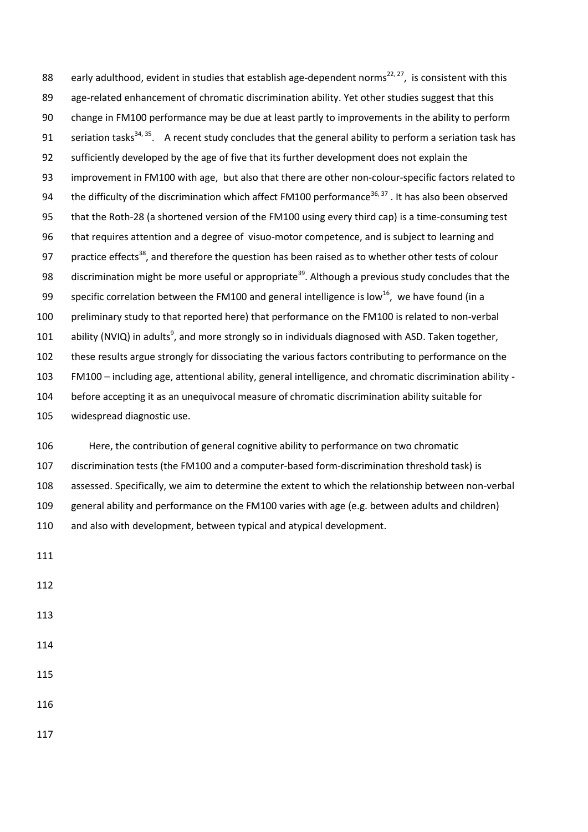88 early adulthood, evident in studies that establish age-dependent norms<sup>[22,](#page-19-9) [27](#page-20-0)</sup>, is consistent with this 89 age-related enhancement of chromatic discrimination ability. Yet other studies suggest that this change in FM100 performance may be due at least partly to improvements in the ability to perform 91 seriation tasks<sup>[34,](#page-20-7) [35](#page-20-8)</sup>. A recent study concludes that the general ability to perform a seriation task has sufficiently developed by the age of five that its further development does not explain the improvement in FM100 with age, but also that there are other non-colour-specific factors related to 94 the difficulty of the discrimination which affect FM100 performance<sup>[36,](#page-20-9) [37](#page-20-10)</sup> . It has also been observed that the Roth-28 (a shortened version of the FM100 using every third cap) is a time-consuming test that requires attention and a degree of visuo-motor competence, and is subject to learning and 97 practice effects<sup>[38](#page-20-11)</sup>, and therefore the question has been raised as to whether other tests of colour 98 discrimination might be more useful or appropriate<sup>[39](#page-20-12)</sup>. Although a previous study concludes that the 99 specific correlation between the FM100 and general intelligence is low<sup>[16](#page-19-12)</sup>, we have found (in a preliminary study to that reported here) that performance on the FM100 is related to non-verbal 101 ability (NVIQ) in adult[s](#page-19-13)<sup>9</sup>, and more strongly so in individuals diagnosed with ASD. Taken together, these results argue strongly for dissociating the various factors contributing to performance on the FM100 – including age, attentional ability, general intelligence, and chromatic discrimination ability - before accepting it as an unequivocal measure of chromatic discrimination ability suitable for widespread diagnostic use.

 Here, the contribution of general cognitive ability to performance on two chromatic discrimination tests (the FM100 and a computer-based form-discrimination threshold task) is assessed. Specifically, we aim to determine the extent to which the relationship between non-verbal general ability and performance on the FM100 varies with age (e.g. between adults and children) and also with development, between typical and atypical development.

- 
- 
- 
- 
- 
-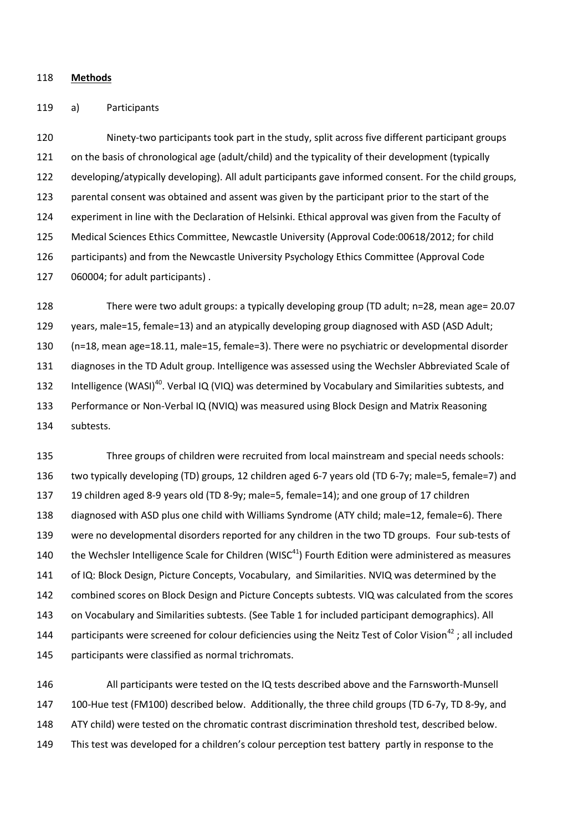#### **Methods**

#### a) Participants

 Ninety-two participants took part in the study, split across five different participant groups on the basis of chronological age (adult/child) and the typicality of their development (typically developing/atypically developing). All adult participants gave informed consent. For the child groups, parental consent was obtained and assent was given by the participant prior to the start of the experiment in line with the Declaration of Helsinki. Ethical approval was given from the Faculty of Medical Sciences Ethics Committee, Newcastle University (Approval Code:00618/2012; for child participants) and from the Newcastle University Psychology Ethics Committee (Approval Code 060004; for adult participants) .

 There were two adult groups: a typically developing group (TD adult; n=28, mean age= 20.07 years, male=15, female=13) and an atypically developing group diagnosed with ASD (ASD Adult; (n=18, mean age=18.11, male=15, female=3). There were no psychiatric or developmental disorder diagnoses in the TD Adult group. Intelligence was assessed using the Wechsler Abbreviated Scale of 132 Intelligence (WASI)<sup>[40](#page-21-0)</sup>. Verbal IQ (VIQ) was determined by Vocabulary and Similarities subtests, and Performance or Non-Verbal IQ (NVIQ) was measured using Block Design and Matrix Reasoning subtests.

 Three groups of children were recruited from local mainstream and special needs schools: two typically developing (TD) groups, 12 children aged 6-7 years old (TD 6-7y; male=5, female=7) and 19 children aged 8-9 years old (TD 8-9y; male=5, female=14); and one group of 17 children diagnosed with ASD plus one child with Williams Syndrome (ATY child; male=12, female=6). There were no developmental disorders reported for any children in the two TD groups. Four sub-tests of 140 the Wechsler Intelligence Scale for Children (WISC) Fourth Edition were administered as measures of IQ: Block Design, Picture Concepts, Vocabulary, and Similarities. NVIQ was determined by the combined scores on Block Design and Picture Concepts subtests. VIQ was calculated from the scores on Vocabulary and Similarities subtests. (See Table 1 for included participant demographics). All 144 participants were screened for colour deficiencies using the Neitz Test of Color Vision<sup>[42](#page-21-2)</sup>; all included participants were classified as normal trichromats.

 All participants were tested on the IQ tests described above and the Farnsworth-Munsell 100-Hue test (FM100) described below. Additionally, the three child groups (TD 6-7y, TD 8-9y, and ATY child) were tested on the chromatic contrast discrimination threshold test, described below. This test was developed for a children's colour perception test battery partly in response to the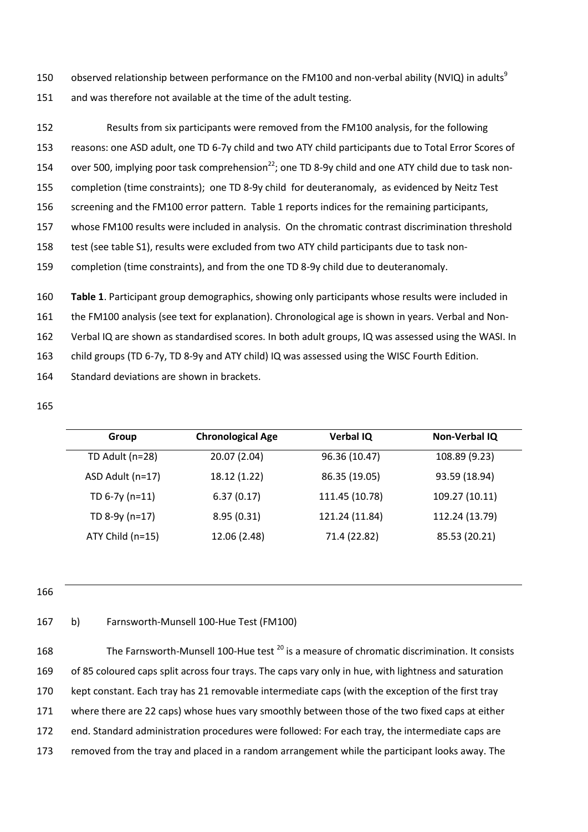ob[s](#page-19-13)erved relationship between performance on the FM100 and non-verbal ability (NVIQ) in adults<sup>9</sup> 150 151 and was therefore not available at the time of the adult testing.

 Results from six participants were removed from the FM100 analysis, for the following reasons: one ASD adult, one TD 6-7y child and two ATY child participants due to Total Error Scores of 154 over 500, implying poor task comprehension<sup>[22](#page-19-9)</sup>; one TD 8-9y child and one ATY child due to task non- completion (time constraints); one TD 8-9y child for deuteranomaly, as evidenced by Neitz Test screening and the FM100 error pattern. Table 1 reports indices for the remaining participants, whose FM100 results were included in analysis. On the chromatic contrast discrimination threshold test (see table S1), results were excluded from two ATY child participants due to task non-completion (time constraints), and from the one TD 8-9y child due to deuteranomaly.

160 **Table 1**. Participant group demographics, showing only participants whose results were included in

161 the FM100 analysis (see text for explanation). Chronological age is shown in years. Verbal and Non-

162 Verbal IQ are shown as standardised scores. In both adult groups, IQ was assessed using the WASI. In

- 163 child groups (TD 6-7y, TD 8-9y and ATY child) IQ was assessed using the WISC Fourth Edition.
- 164 Standard deviations are shown in brackets.
- 165

| Group            | <b>Chronological Age</b> | <b>Verbal IQ</b> | <b>Non-Verbal IQ</b> |
|------------------|--------------------------|------------------|----------------------|
| TD Adult (n=28)  | 20.07 (2.04)             | 96.36 (10.47)    | 108.89 (9.23)        |
| ASD Adult (n=17) | 18.12 (1.22)             | 86.35 (19.05)    | 93.59 (18.94)        |
| TD $6-7y$ (n=11) | 6.37(0.17)               | 111.45 (10.78)   | 109.27 (10.11)       |
| TD 8-9y (n=17)   | 8.95(0.31)               | 121.24 (11.84)   | 112.24 (13.79)       |
| ATY Child (n=15) | 12.06 (2.48)             | 71.4 (22.82)     | 85.53 (20.21)        |

166

# 167 b) Farnsworth-Munsell 100-Hue Test (FM100)

168 The Farnsworth-Munsell 100-Hue test <sup>[20](#page-19-7)</sup> is a measure of chromatic discrimination. It consists of 85 coloured caps split across four trays. The caps vary only in hue, with lightness and saturation kept constant. Each tray has 21 removable intermediate caps (with the exception of the first tray where there are 22 caps) whose hues vary smoothly between those of the two fixed caps at either end. Standard administration procedures were followed: For each tray, the intermediate caps are removed from the tray and placed in a random arrangement while the participant looks away. The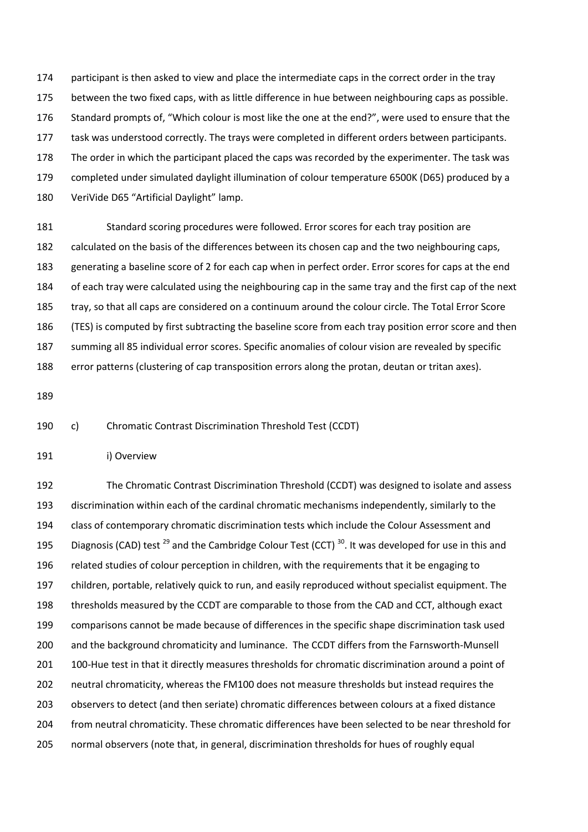participant is then asked to view and place the intermediate caps in the correct order in the tray between the two fixed caps, with as little difference in hue between neighbouring caps as possible. Standard prompts of, "Which colour is most like the one at the end?", were used to ensure that the task was understood correctly. The trays were completed in different orders between participants. The order in which the participant placed the caps was recorded by the experimenter. The task was completed under simulated daylight illumination of colour temperature 6500K (D65) produced by a 180 VeriVide D65 "Artificial Daylight" lamp.

 Standard scoring procedures were followed. Error scores for each tray position are calculated on the basis of the differences between its chosen cap and the two neighbouring caps, generating a baseline score of 2 for each cap when in perfect order. Error scores for caps at the end of each tray were calculated using the neighbouring cap in the same tray and the first cap of the next tray, so that all caps are considered on a continuum around the colour circle. The Total Error Score (TES) is computed by first subtracting the baseline score from each tray position error score and then summing all 85 individual error scores. Specific anomalies of colour vision are revealed by specific error patterns (clustering of cap transposition errors along the protan, deutan or tritan axes).

c) Chromatic Contrast Discrimination Threshold Test (CCDT)

i) Overview

 The Chromatic Contrast Discrimination Threshold (CCDT) was designed to isolate and assess discrimination within each of the cardinal chromatic mechanisms independently, similarly to the class of contemporary chromatic discrimination tests which include the Colour Assessment and 195 Diagnosis (CAD) test <sup>[29](#page-20-2)</sup> and the Cambridge Colour Test (CCT)  $30$ . It was developed for use in this and related studies of colour perception in children, with the requirements that it be engaging to children, portable, relatively quick to run, and easily reproduced without specialist equipment. The thresholds measured by the CCDT are comparable to those from the CAD and CCT, although exact comparisons cannot be made because of differences in the specific shape discrimination task used and the background chromaticity and luminance. The CCDT differs from the Farnsworth-Munsell 201 100-Hue test in that it directly measures thresholds for chromatic discrimination around a point of neutral chromaticity, whereas the FM100 does not measure thresholds but instead requires the observers to detect (and then seriate) chromatic differences between colours at a fixed distance from neutral chromaticity. These chromatic differences have been selected to be near threshold for normal observers (note that, in general, discrimination thresholds for hues of roughly equal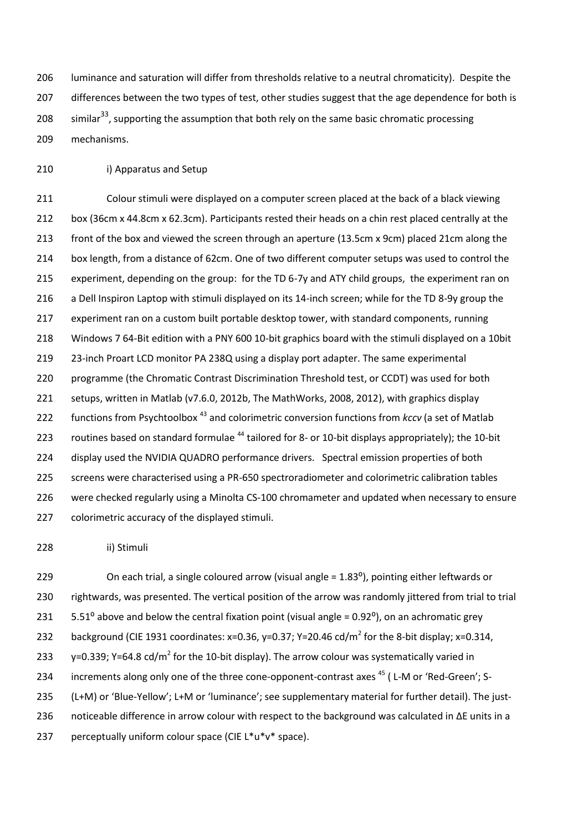luminance and saturation will differ from thresholds relative to a neutral chromaticity). Despite the 207 differences between the two types of test, other studies suggest that the age dependence for both is 208 similar<sup>33</sup>, supporting the assumption that both rely on the same basic chromatic processing mechanisms.

i) Apparatus and Setup

 Colour stimuli were displayed on a computer screen placed at the back of a black viewing box (36cm x 44.8cm x 62.3cm). Participants rested their heads on a chin rest placed centrally at the front of the box and viewed the screen through an aperture (13.5cm x 9cm) placed 21cm along the box length, from a distance of 62cm. One of two different computer setups was used to control the experiment, depending on the group: for the TD 6-7y and ATY child groups, the experiment ran on a Dell Inspiron Laptop with stimuli displayed on its 14-inch screen; while for the TD 8-9y group the 217 experiment ran on a custom built portable desktop tower, with standard components, running Windows 7 64-Bit edition with a PNY 600 10-bit graphics board with the stimuli displayed on a 10bit 23-inch Proart LCD monitor PA 238Q using a display port adapter. The same experimental programme (the Chromatic Contrast Discrimination Threshold test, or CCDT) was used for both setups, written in Matlab (v7.6.0, 2012b, The MathWorks, 2008, 2012), with graphics display 222 functions from Psychtoolbox<sup>[43](#page-21-3)</sup> and colorimetric conversion functions from *kccv* (a set of Matlab 223 routines based on standard formulae  $^{44}$  $^{44}$  $^{44}$  tailored for 8- or 10-bit displays appropriately); the 10-bit display used the NVIDIA QUADRO performance drivers. Spectral emission properties of both 225 screens were characterised using a PR-650 spectroradiometer and colorimetric calibration tables were checked regularly using a Minolta CS-100 chromameter and updated when necessary to ensure colorimetric accuracy of the displayed stimuli.

ii) Stimuli

229 On each trial, a single coloured arrow (visual angle = 1.83<sup>o</sup>), pointing either leftwards or rightwards, was presented. The vertical position of the arrow was randomly jittered from trial to trial 231  $5.51^\circ$  above and below the central fixation point (visual angle = 0.92 $^\circ$ ), on an achromatic grey 232 background (CIE 1931 coordinates: x=0.36, y=0.37; Y=20.46 cd/m<sup>2</sup> for the 8-bit display; x=0.314, 233 y=0.339; Y=64.8 cd/m<sup>2</sup> for the 10-bit display). The arrow colour was systematically varied in 234 increments along only one of the three cone-opponent-contrast axes (L-M or 'Red-Green'; S- (L+M) or 'Blue-Yellow'; L+M or 'luminance'; see supplementary material for further detail). The just- noticeable difference in arrow colour with respect to the background was calculated in ΔE units in a 237 perceptually uniform colour space (CIE  $L^*u^*v^*$  space).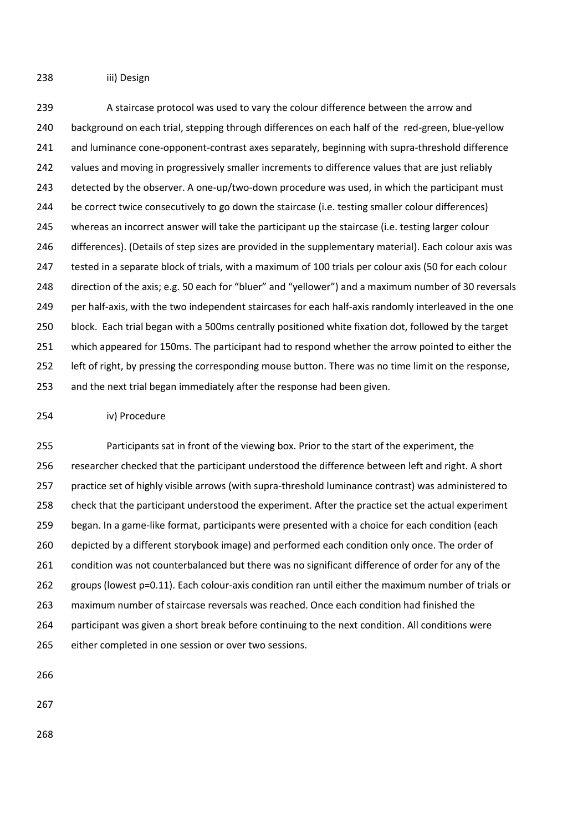iii) Design

 A staircase protocol was used to vary the colour difference between the arrow and 240 background on each trial, stepping through differences on each half of the red-green, blue-yellow 241 and luminance cone-opponent-contrast axes separately, beginning with supra-threshold difference 242 values and moving in progressively smaller increments to difference values that are just reliably 243 detected by the observer. A one-up/two-down procedure was used, in which the participant must be correct twice consecutively to go down the staircase (i.e. testing smaller colour differences) whereas an incorrect answer will take the participant up the staircase (i.e. testing larger colour differences). (Details of step sizes are provided in the supplementary material). Each colour axis was tested in a separate block of trials, with a maximum of 100 trials per colour axis (50 for each colour direction of the axis; e.g. 50 each for "bluer" and "yellower") and a maximum number of 30 reversals 249 per half-axis, with the two independent staircases for each half-axis randomly interleaved in the one block. Each trial began with a 500ms centrally positioned white fixation dot, followed by the target which appeared for 150ms. The participant had to respond whether the arrow pointed to either the left of right, by pressing the corresponding mouse button. There was no time limit on the response, and the next trial began immediately after the response had been given.

#### iv) Procedure

 Participants sat in front of the viewing box. Prior to the start of the experiment, the researcher checked that the participant understood the difference between left and right. A short practice set of highly visible arrows (with supra-threshold luminance contrast) was administered to check that the participant understood the experiment. After the practice set the actual experiment began. In a game-like format, participants were presented with a choice for each condition (each depicted by a different storybook image) and performed each condition only once. The order of condition was not counterbalanced but there was no significant difference of order for any of the groups (lowest p=0.11). Each colour-axis condition ran until either the maximum number of trials or maximum number of staircase reversals was reached. Once each condition had finished the participant was given a short break before continuing to the next condition. All conditions were either completed in one session or over two sessions.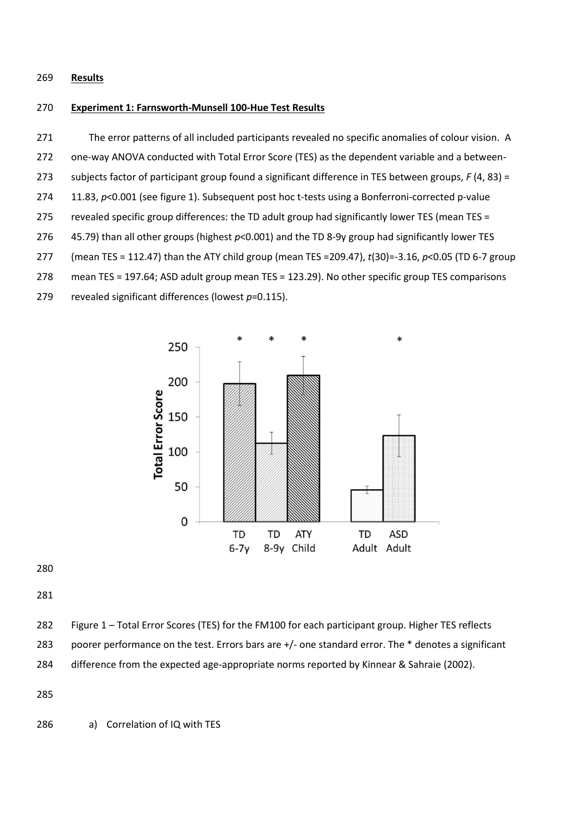## **Results**

## **Experiment 1: Farnsworth-Munsell 100-Hue Test Results**

 The error patterns of all included participants revealed no specific anomalies of colour vision. A one-way ANOVA conducted with Total Error Score (TES) as the dependent variable and a between- subjects factor of participant group found a significant difference in TES between groups, *F* (4, 83) = 274 11.83, p<0.001 (see figure 1). Subsequent post hoc t-tests using a Bonferroni-corrected p-value 275 revealed specific group differences: the TD adult group had significantly lower TES (mean TES = 45.79) than all other groups (highest *p*<0.001) and the TD 8-9y group had significantly lower TES (mean TES = 112.47) than the ATY child group (mean TES =209.47), *t*(30)=-3.16, *p*<0.05 (TD 6-7 group mean TES = 197.64; ASD adult group mean TES = 123.29). No other specific group TES comparisons revealed significant differences (lowest *p*=0.115).



Figure 1 – Total Error Scores (TES) for the FM100 for each participant group. Higher TES reflects

poorer performance on the test. Errors bars are +/- one standard error. The \* denotes a significant

difference from the expected age-appropriate norms reported by Kinnear & Sahraie (2002).

a) Correlation of IQ with TES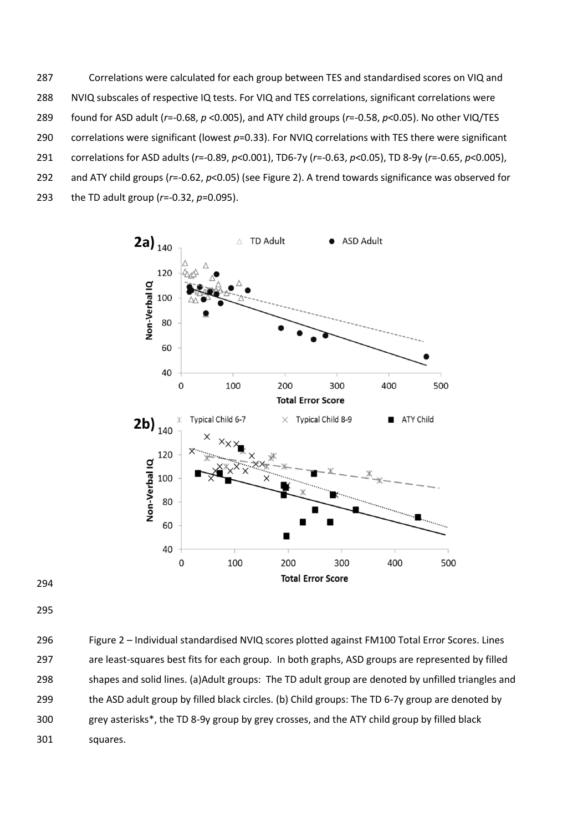Correlations were calculated for each group between TES and standardised scores on VIQ and NVIQ subscales of respective IQ tests. For VIQ and TES correlations, significant correlations were found for ASD adult (*r*=-0.68, *p* <0.005), and ATY child groups (*r*=-0.58, *p*<0.05). No other VIQ/TES correlations were significant (lowest *p*=0.33). For NVIQ correlations with TES there were significant correlations for ASD adults (*r*=-0.89, *p*<0.001), TD6-7y (*r*=-0.63, *p*<0.05), TD 8-9y (*r*=-0.65, *p*<0.005), and ATY child groups (*r*=-0.62, *p*<0.05) (see Figure 2). A trend towards significance was observed for the TD adult group (*r*=-0.32, *p*=0.095).



 Figure 2 – Individual standardised NVIQ scores plotted against FM100 Total Error Scores. Lines are least-squares best fits for each group. In both graphs, ASD groups are represented by filled shapes and solid lines. (a)Adult groups: The TD adult group are denoted by unfilled triangles and the ASD adult group by filled black circles. (b) Child groups: The TD 6-7y group are denoted by grey asterisks\*, the TD 8-9y group by grey crosses, and the ATY child group by filled black squares.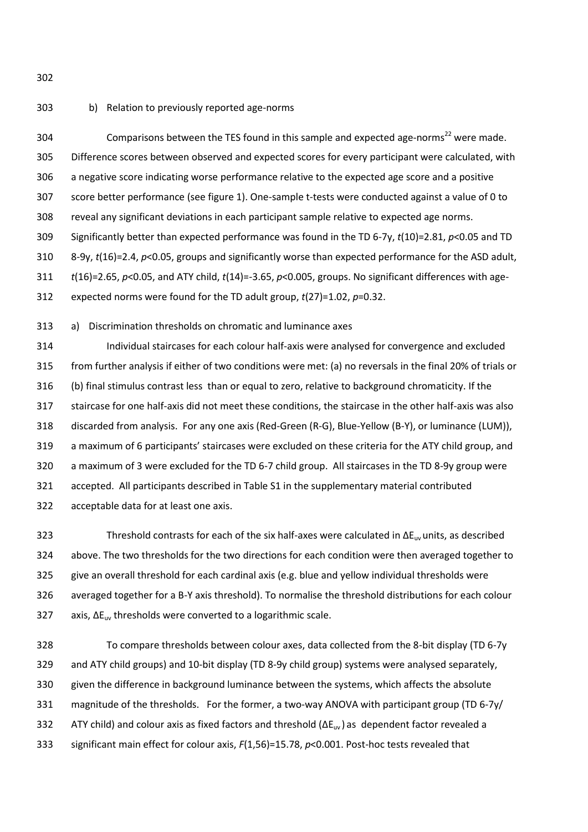#### b) Relation to previously reported age-norms

304 Comparisons between the TES found in this sample and expected age-norms<sup>[22](#page-19-9)</sup> were made. Difference scores between observed and expected scores for every participant were calculated, with a negative score indicating worse performance relative to the expected age score and a positive score better performance (see figure 1). One-sample t-tests were conducted against a value of 0 to reveal any significant deviations in each participant sample relative to expected age norms. Significantly better than expected performance was found in the TD 6-7y, *t*(10)=2.81, *p*<0.05 and TD 8-9y, *t*(16)=2.4, *p*<0.05, groups and significantly worse than expected performance for the ASD adult, *t*(16)=2.65, *p*<0.05, and ATY child, *t*(14)=-3.65, *p*<0.005, groups. No significant differences with age-expected norms were found for the TD adult group, *t*(27)=1.02, *p*=0.32.

a) Discrimination thresholds on chromatic and luminance axes

 Individual staircases for each colour half-axis were analysed for convergence and excluded from further analysis if either of two conditions were met: (a) no reversals in the final 20% of trials or (b) final stimulus contrast less than or equal to zero, relative to background chromaticity. If the staircase for one half-axis did not meet these conditions, the staircase in the other half-axis was also discarded from analysis. For any one axis (Red-Green (R-G), Blue-Yellow (B-Y), or luminance (LUM)), a maximum of 6 participants' staircases were excluded on these criteria for the ATY child group, and a maximum of 3 were excluded for the TD 6-7 child group. All staircases in the TD 8-9y group were accepted. All participants described in Table S1 in the supplementary material contributed acceptable data for at least one axis.

323 Threshold contrasts for each of the six half-axes were calculated in  $\Delta E_{\text{UV}}$  units, as described above. The two thresholds for the two directions for each condition were then averaged together to give an overall threshold for each cardinal axis (e.g. blue and yellow individual thresholds were averaged together for a B-Y axis threshold). To normalise the threshold distributions for each colour 327 axis,  $\Delta E_{\text{uv}}$  thresholds were converted to a logarithmic scale.

 To compare thresholds between colour axes, data collected from the 8-bit display (TD 6-7y and ATY child groups) and 10-bit display (TD 8-9y child group) systems were analysed separately, given the difference in background luminance between the systems, which affects the absolute magnitude of the thresholds. For the former, a two-way ANOVA with participant group (TD 6-7y/ 332 ATY child) and colour axis as fixed factors and threshold  $(\Delta E_{uv})$  as dependent factor revealed a significant main effect for colour axis, *F*(1,56)=15.78, *p*<0.001. Post-hoc tests revealed that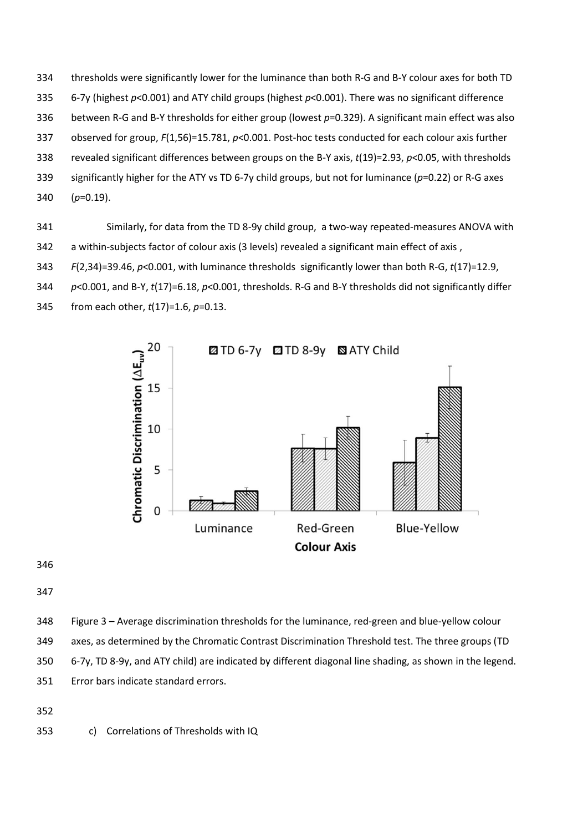thresholds were significantly lower for the luminance than both R-G and B-Y colour axes for both TD 6-7y (highest *p*<0.001) and ATY child groups (highest *p*<0.001). There was no significant difference between R-G and B-Y thresholds for either group (lowest *p*=0.329). A significant main effect was also observed for group, *F*(1,56)=15.781, *p*<0.001. Post-hoc tests conducted for each colour axis further revealed significant differences between groups on the B-Y axis, *t*(19)=2.93, *p*<0.05, with thresholds significantly higher for the ATY vs TD 6-7y child groups, but not for luminance (*p*=0.22) or R-G axes (*p*=0.19).

- Similarly, for data from the TD 8-9y child group, a two-way repeated-measures ANOVA with
- 342 a within-subjects factor of colour axis (3 levels) revealed a significant main effect of axis,
- *F*(2,34)=39.46, *p*<0.001, with luminance thresholds significantly lower than both R-G, *t*(17)=12.9,
- *p*<0.001, and B-Y, *t*(17)=6.18, *p*<0.001, thresholds. R-G and B-Y thresholds did not significantly differ
- from each other, *t*(17)=1.6, *p*=0.13.



- Figure 3 Average discrimination thresholds for the luminance, red-green and blue-yellow colour
- axes, as determined by the Chromatic Contrast Discrimination Threshold test. The three groups (TD
- 6-7y, TD 8-9y, and ATY child) are indicated by different diagonal line shading, as shown in the legend.
- Error bars indicate standard errors.

c) Correlations of Thresholds with IQ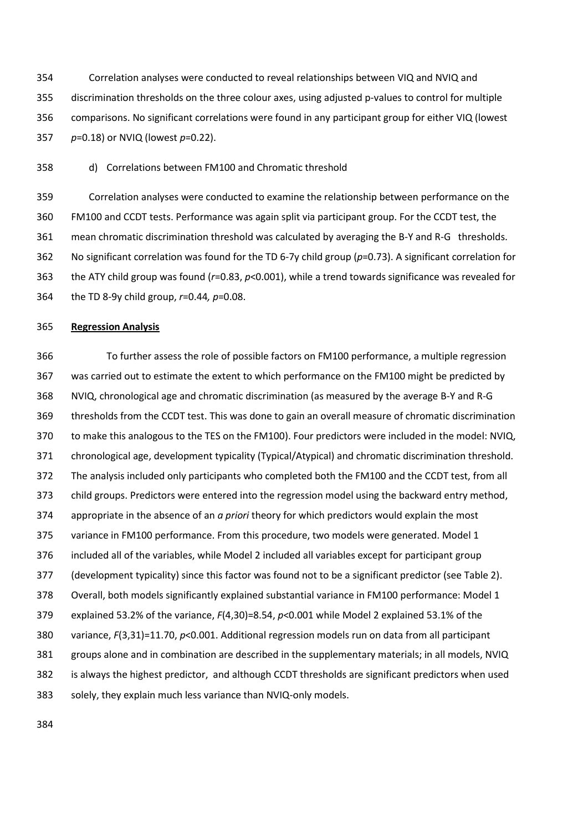Correlation analyses were conducted to reveal relationships between VIQ and NVIQ and discrimination thresholds on the three colour axes, using adjusted p-values to control for multiple comparisons. No significant correlations were found in any participant group for either VIQ (lowest *p*=0.18) or NVIQ (lowest *p*=0.22).

d) Correlations between FM100 and Chromatic threshold

 Correlation analyses were conducted to examine the relationship between performance on the FM100 and CCDT tests. Performance was again split via participant group. For the CCDT test, the mean chromatic discrimination threshold was calculated by averaging the B-Y and R-G thresholds. No significant correlation was found for the TD 6-7y child group (*p*=0.73). A significant correlation for the ATY child group was found (*r*=0.83, *p*<0.001), while a trend towards significance was revealed for the TD 8-9y child group, *r*=0.44*, p*=0.08.

#### **Regression Analysis**

 To further assess the role of possible factors on FM100 performance, a multiple regression was carried out to estimate the extent to which performance on the FM100 might be predicted by NVIQ, chronological age and chromatic discrimination (as measured by the average B-Y and R-G thresholds from the CCDT test. This was done to gain an overall measure of chromatic discrimination to make this analogous to the TES on the FM100). Four predictors were included in the model: NVIQ, chronological age, development typicality (Typical/Atypical) and chromatic discrimination threshold. The analysis included only participants who completed both the FM100 and the CCDT test, from all child groups. Predictors were entered into the regression model using the backward entry method, appropriate in the absence of an *a priori* theory for which predictors would explain the most variance in FM100 performance. From this procedure, two models were generated. Model 1 included all of the variables, while Model 2 included all variables except for participant group (development typicality) since this factor was found not to be a significant predictor (see Table 2). Overall, both models significantly explained substantial variance in FM100 performance: Model 1 explained 53.2% of the variance, *F*(4,30)=8.54, *p*<0.001 while Model 2 explained 53.1% of the variance, *F*(3,31)=11.70, *p*<0.001. Additional regression models run on data from all participant groups alone and in combination are described in the supplementary materials; in all models, NVIQ is always the highest predictor, and although CCDT thresholds are significant predictors when used solely, they explain much less variance than NVIQ-only models.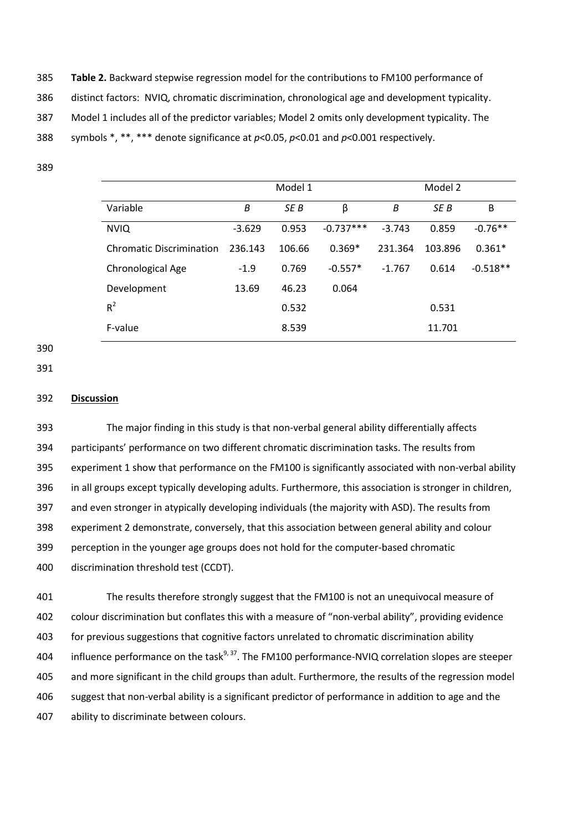**Table 2.** Backward stepwise regression model for the contributions to FM100 performance of distinct factors: NVIQ, chromatic discrimination, chronological age and development typicality. Model 1 includes all of the predictor variables; Model 2 omits only development typicality. The symbols \*, \*\*, \*\*\* denote significance at *p*<0.05, *p*<0.01 and *p*<0.001 respectively.

- Model 1 Model 2 Variable *B SE B* β *B SE B* Β NVIQ -3.629 0.953 -0.737\*\*\* -3.743 0.859 -0.76\*\* Chromatic Discrimination 236.143 106.66 0.369\* 231.364 103.896 0.361\* Chronological Age -1.9 0.769 -0.557\* -1.767 0.614 -0.518\*\* Development 13.69 46.23 0.064  $R^2$ 0.532 0.531 F-value 11.701
- 

**Discussion**

 The major finding in this study is that non-verbal general ability differentially affects participants' performance on two different chromatic discrimination tasks. The results from experiment 1 show that performance on the FM100 is significantly associated with non-verbal ability in all groups except typically developing adults. Furthermore, this association is stronger in children, and even stronger in atypically developing individuals (the majority with ASD). The results from experiment 2 demonstrate, conversely, that this association between general ability and colour perception in the younger age groups does not hold for the computer-based chromatic discrimination threshold test (CCDT).

 The results therefore strongly suggest that the FM100 is not an unequivocal measure of colour discrimination but conflates this with a measure of "non-verbal ability", providing evidence for previous suggestions that cognitive factors unrelated to chromatic discrimination ability 404 influence performance on the task<sup>[9,](#page-19-13) [37](#page-20-10)</sup>. The FM100 performance-NVIQ correlation slopes are steeper and more significant in the child groups than adult. Furthermore, the results of the regression model suggest that non-verbal ability is a significant predictor of performance in addition to age and the ability to discriminate between colours.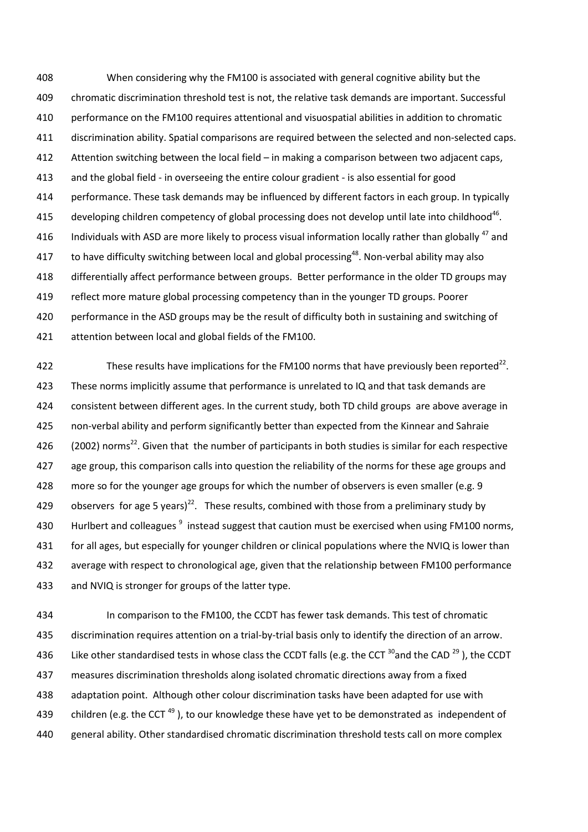When considering why the FM100 is associated with general cognitive ability but the chromatic discrimination threshold test is not, the relative task demands are important. Successful performance on the FM100 requires attentional and visuospatial abilities in addition to chromatic discrimination ability. Spatial comparisons are required between the selected and non-selected caps. Attention switching between the local field – in making a comparison between two adjacent caps, and the global field - in overseeing the entire colour gradient - is also essential for good performance. These task demands may be influenced by different factors in each group. In typically 415 developing children competency of global processing does not develop until late into childhood<sup>[46](#page-21-6)</sup>. 416 Individuals with ASD are more likely to process visual information locally rather than globally and 417 to have difficulty switching between local and global processing<sup>[48](#page-21-8)</sup>. Non-verbal ability may also differentially affect performance between groups. Better performance in the older TD groups may reflect more mature global processing competency than in the younger TD groups. Poorer performance in the ASD groups may be the result of difficulty both in sustaining and switching of attention between local and global fields of the FM100.

[22](#page-19-9) These results have implications for the FM100 norms that have previously been reported<sup>22</sup>. 423 These norms implicitly assume that performance is unrelated to IQ and that task demands are consistent between different ages. In the current study, both TD child groups are above average in non-verbal ability and perform significantly better than expected from the Kinnear and Sahraie  $\,$  (2002) norms<sup>[22](#page-19-9)</sup>. Given that the number of participants in both studies is similar for each respective age group, this comparison calls into question the reliability of the norms for these age groups and 428 more so for the younger age groups for which the number of observers is even smaller (e.g. 9 429 observers for age 5 years)<sup>[22](#page-19-9)</sup>. These results, combined with those from a preliminary study by 430 Hurlbert and colleagues <sup>[9](#page-19-13)</sup> instead suggest that caution must be exercised when using FM100 norms, for all ages, but especially for younger children or clinical populations where the NVIQ is lower than average with respect to chronological age, given that the relationship between FM100 performance and NVIQ is stronger for groups of the latter type.

 In comparison to the FM100, the CCDT has fewer task demands. This test of chromatic discrimination requires attention on a trial-by-trial basis only to identify the direction of an arrow. 436 Like other standardised tests in whose class the CCDT falls (e.g. the CCT  $^{30}$  $^{30}$  $^{30}$  and the CAD  $^{29}$  $^{29}$  $^{29}$ ), the CCDT measures discrimination thresholds along isolated chromatic directions away from a fixed adaptation point. Although other colour discrimination tasks have been adapted for use with 439 children (e.g. the CCT<sup>[49](#page-21-9)</sup>), to our knowledge these have yet to be demonstrated as independent of general ability. Other standardised chromatic discrimination threshold tests call on more complex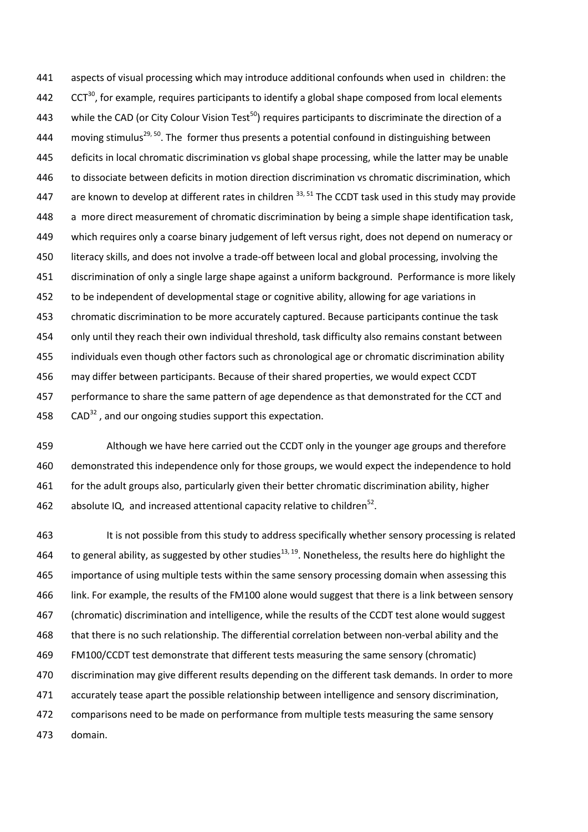aspects of visual processing which may introduce additional confounds when used in children: the  $CCT^{30}$  $CCT^{30}$  $CCT^{30}$ , for example, requires participants to identify a global shape composed from local elements 443 while the CAD (or City Colour Vision Test<sup>[50](#page-21-10)</sup>) requires participants to discriminate the direction of a 444 moving stimulus<sup>[29,](#page-20-2) [50](#page-21-10)</sup>. The former thus presents a potential confound in distinguishing between 445 deficits in local chromatic discrimination vs global shape processing, while the latter may be unable to dissociate between deficits in motion direction discrimination vs chromatic discrimination, which 447 are known to develop at different rates in children  $^{33, 51}$  $^{33, 51}$  $^{33, 51}$  $^{33, 51}$  The CCDT task used in this study may provide a more direct measurement of chromatic discrimination by being a simple shape identification task, which requires only a coarse binary judgement of left versus right, does not depend on numeracy or literacy skills, and does not involve a trade-off between local and global processing, involving the discrimination of only a single large shape against a uniform background. Performance is more likely 452 to be independent of developmental stage or cognitive ability, allowing for age variations in chromatic discrimination to be more accurately captured. Because participants continue the task only until they reach their own individual threshold, task difficulty also remains constant between individuals even though other factors such as chronological age or chromatic discrimination ability may differ between participants. Because of their shared properties, we would expect CCDT performance to share the same pattern of age dependence as that demonstrated for the CCT and  $\cdot$  CAD<sup>[32](#page-20-5)</sup>, and our ongoing studies support this expectation.

 Although we have here carried out the CCDT only in the younger age groups and therefore demonstrated this independence only for those groups, we would expect the independence to hold for the adult groups also, particularly given their better chromatic discrimination ability, higher 462 absolute IQ, and increased attentional capacity relative to children<sup>[52](#page-21-12)</sup>.

463 It is not possible from this study to address specifically whether sensory processing is related 464 to general ability, as suggested by other studies<sup>[13,](#page-19-3) [19](#page-19-6)</sup>. Nonetheless, the results here do highlight the importance of using multiple tests within the same sensory processing domain when assessing this link. For example, the results of the FM100 alone would suggest that there is a link between sensory (chromatic) discrimination and intelligence, while the results of the CCDT test alone would suggest that there is no such relationship. The differential correlation between non-verbal ability and the FM100/CCDT test demonstrate that different tests measuring the same sensory (chromatic) discrimination may give different results depending on the different task demands. In order to more accurately tease apart the possible relationship between intelligence and sensory discrimination, comparisons need to be made on performance from multiple tests measuring the same sensory domain.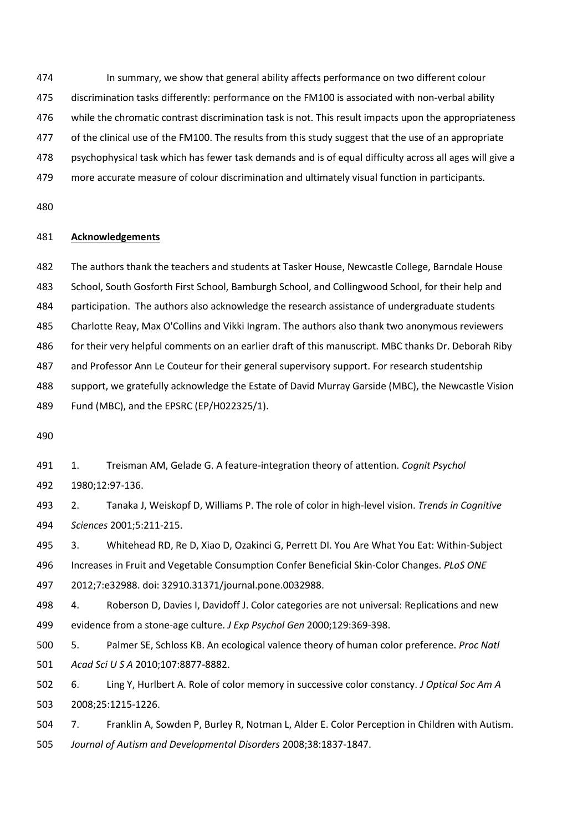In summary, we show that general ability affects performance on two different colour discrimination tasks differently: performance on the FM100 is associated with non-verbal ability while the chromatic contrast discrimination task is not. This result impacts upon the appropriateness of the clinical use of the FM100. The results from this study suggest that the use of an appropriate psychophysical task which has fewer task demands and is of equal difficulty across all ages will give a

more accurate measure of colour discrimination and ultimately visual function in participants.

## **Acknowledgements**

The authors thank the teachers and students at Tasker House, Newcastle College, Barndale House

School, South Gosforth First School, Bamburgh School, and Collingwood School, for their help and

participation. The authors also acknowledge the research assistance of undergraduate students

Charlotte Reay, Max O'Collins and Vikki Ingram. The authors also thank two anonymous reviewers

for their very helpful comments on an earlier draft of this manuscript. MBC thanks Dr. Deborah Riby

and Professor Ann Le Couteur for their general supervisory support. For research studentship

support, we gratefully acknowledge the Estate of David Murray Garside (MBC), the Newcastle Vision

Fund (MBC), and the EPSRC (EP/H022325/1).

<span id="page-18-0"></span> 1. Treisman AM, Gelade G. A feature-integration theory of attention. *Cognit Psychol* 1980;12:97-136.

<span id="page-18-1"></span> 2. Tanaka J, Weiskopf D, Williams P. The role of color in high-level vision. *Trends in Cognitive Sciences* 2001;5:211-215.

<span id="page-18-2"></span> 3. Whitehead RD, Re D, Xiao D, Ozakinci G, Perrett DI. You Are What You Eat: Within-Subject Increases in Fruit and Vegetable Consumption Confer Beneficial Skin-Color Changes. *PLoS ONE* 2012;7:e32988. doi: 32910.31371/journal.pone.0032988.

<span id="page-18-3"></span> 4. Roberson D, Davies I, Davidoff J. Color categories are not universal: Replications and new evidence from a stone-age culture. *J Exp Psychol Gen* 2000;129:369-398.

<span id="page-18-4"></span> 5. Palmer SE, Schloss KB. An ecological valence theory of human color preference. *Proc Natl Acad Sci U S A* 2010;107:8877-8882.

<span id="page-18-5"></span> 6. Ling Y, Hurlbert A. Role of color memory in successive color constancy. *J Optical Soc Am A* 2008;25:1215-1226.

<span id="page-18-6"></span> 7. Franklin A, Sowden P, Burley R, Notman L, Alder E. Color Perception in Children with Autism. *Journal of Autism and Developmental Disorders* 2008;38:1837-1847.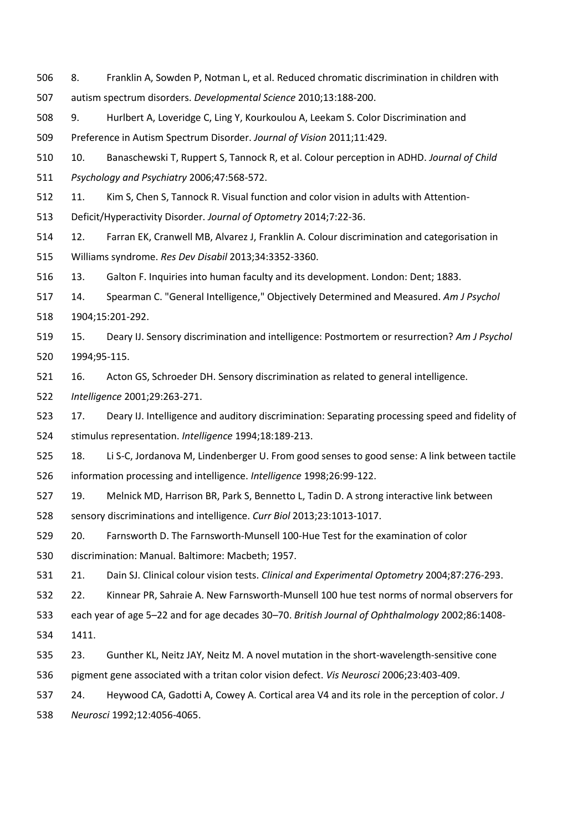- <span id="page-19-11"></span> 8. Franklin A, Sowden P, Notman L, et al. Reduced chromatic discrimination in children with autism spectrum disorders. *Developmental Science* 2010;13:188-200.
- <span id="page-19-13"></span>9. Hurlbert A, Loveridge C, Ling Y, Kourkoulou A, Leekam S. Color Discrimination and

Preference in Autism Spectrum Disorder. *Journal of Vision* 2011;11:429.

- <span id="page-19-0"></span>10. Banaschewski T, Ruppert S, Tannock R, et al. Colour perception in ADHD. *Journal of Child*
- *Psychology and Psychiatry* 2006;47:568-572.
- <span id="page-19-1"></span>11. Kim S, Chen S, Tannock R. Visual function and color vision in adults with Attention-
- Deficit/Hyperactivity Disorder. *Journal of Optometry* 2014;7:22-36.
- <span id="page-19-2"></span> 12. Farran EK, Cranwell MB, Alvarez J, Franklin A. Colour discrimination and categorisation in Williams syndrome. *Res Dev Disabil* 2013;34:3352-3360.

<span id="page-19-3"></span>13. Galton F. Inquiries into human faculty and its development. London: Dent; 1883.

- <span id="page-19-4"></span> 14. Spearman C. "General Intelligence," Objectively Determined and Measured. *Am J Psychol* 1904;15:201-292.
- <span id="page-19-5"></span> 15. Deary IJ. Sensory discrimination and intelligence: Postmortem or resurrection? *Am J Psychol* 1994;95-115.
- <span id="page-19-12"></span>16. Acton GS, Schroeder DH. Sensory discrimination as related to general intelligence.
- *Intelligence* 2001;29:263-271.
- 17. Deary IJ. Intelligence and auditory discrimination: Separating processing speed and fidelity of stimulus representation. *Intelligence* 1994;18:189-213.
- 18. Li S-C, Jordanova M, Lindenberger U. From good senses to good sense: A link between tactile information processing and intelligence. *Intelligence* 1998;26:99-122.
- <span id="page-19-6"></span> 19. Melnick MD, Harrison BR, Park S, Bennetto L, Tadin D. A strong interactive link between sensory discriminations and intelligence. *Curr Biol* 2013;23:1013-1017.
- <span id="page-19-7"></span>20. Farnsworth D. The Farnsworth-Munsell 100-Hue Test for the examination of color
- discrimination: Manual. Baltimore: Macbeth; 1957.
- <span id="page-19-8"></span>21. Dain SJ. Clinical colour vision tests. *Clinical and Experimental Optometry* 2004;87:276-293.

<span id="page-19-9"></span>22. Kinnear PR, Sahraie A. New Farnsworth-Munsell 100 hue test norms of normal observers for

each year of age 5–22 and for age decades 30–70. *British Journal of Ophthalmology* 2002;86:1408-

- 1411.
- <span id="page-19-10"></span>23. Gunther KL, Neitz JAY, Neitz M. A novel mutation in the short-wavelength-sensitive cone
- pigment gene associated with a tritan color vision defect. *Vis Neurosci* 2006;23:403-409.
- 24. Heywood CA, Gadotti A, Cowey A. Cortical area V4 and its role in the perception of color. *J*

*Neurosci* 1992;12:4056-4065.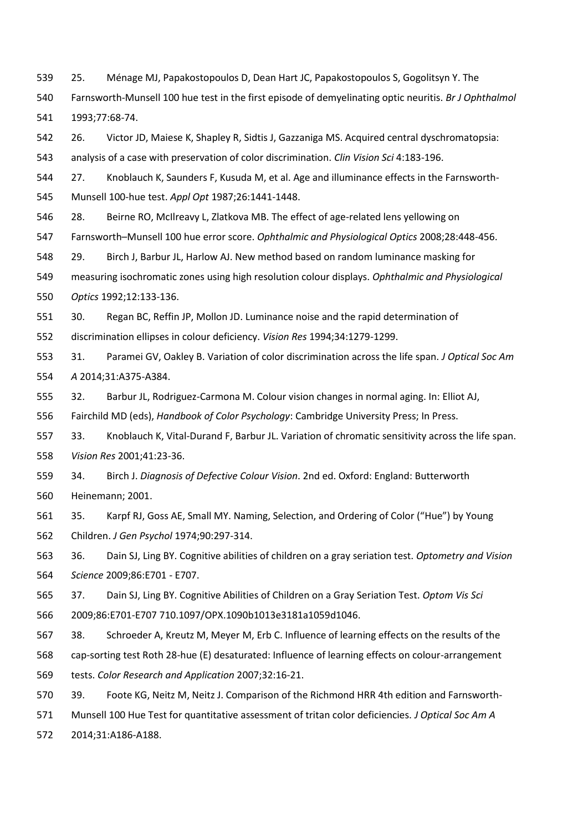25. Ménage MJ, Papakostopoulos D, Dean Hart JC, Papakostopoulos S, Gogolitsyn Y. The

 Farnsworth-Munsell 100 hue test in the first episode of demyelinating optic neuritis. *Br J Ophthalmol* 1993;77:68-74.

26. Victor JD, Maiese K, Shapley R, Sidtis J, Gazzaniga MS. Acquired central dyschromatopsia:

analysis of a case with preservation of color discrimination. *Clin Vision Sci* 4:183-196.

<span id="page-20-0"></span> 27. Knoblauch K, Saunders F, Kusuda M, et al. Age and illuminance effects in the Farnsworth-Munsell 100-hue test. *Appl Opt* 1987;26:1441-1448.

<span id="page-20-1"></span>28. Beirne RO, McIlreavy L, Zlatkova MB. The effect of age-related lens yellowing on

Farnsworth–Munsell 100 hue error score. *Ophthalmic and Physiological Optics* 2008;28:448-456.

<span id="page-20-2"></span>29. Birch J, Barbur JL, Harlow AJ. New method based on random luminance masking for

measuring isochromatic zones using high resolution colour displays. *Ophthalmic and Physiological* 

*Optics* 1992;12:133-136.

<span id="page-20-3"></span>30. Regan BC, Reffin JP, Mollon JD. Luminance noise and the rapid determination of

discrimination ellipses in colour deficiency. *Vision Res* 1994;34:1279-1299.

<span id="page-20-4"></span> 31. Paramei GV, Oakley B. Variation of color discrimination across the life span. *J Optical Soc Am A* 2014;31:A375-A384.

<span id="page-20-5"></span>32. Barbur JL, Rodriguez-Carmona M. Colour vision changes in normal aging. In: Elliot AJ,

Fairchild MD (eds), *Handbook of Color Psychology*: Cambridge University Press; In Press.

<span id="page-20-6"></span> 33. Knoblauch K, Vital-Durand F, Barbur JL. Variation of chromatic sensitivity across the life span. *Vision Res* 2001;41:23-36.

<span id="page-20-7"></span> 34. Birch J. *Diagnosis of Defective Colour Vision*. 2nd ed. Oxford: England: Butterworth Heinemann; 2001.

<span id="page-20-8"></span> 35. Karpf RJ, Goss AE, Small MY. Naming, Selection, and Ordering of Color ("Hue") by Young Children. *J Gen Psychol* 1974;90:297-314.

<span id="page-20-9"></span> 36. Dain SJ, Ling BY. Cognitive abilities of children on a gray seriation test. *Optometry and Vision Science* 2009;86:E701 - E707.

<span id="page-20-10"></span> 37. Dain SJ, Ling BY. Cognitive Abilities of Children on a Gray Seriation Test. *Optom Vis Sci* 2009;86:E701-E707 710.1097/OPX.1090b1013e3181a1059d1046.

<span id="page-20-11"></span> 38. Schroeder A, Kreutz M, Meyer M, Erb C. Influence of learning effects on the results of the cap-sorting test Roth 28-hue (E) desaturated: Influence of learning effects on colour-arrangement tests. *Color Research and Application* 2007;32:16-21.

<span id="page-20-12"></span>39. Foote KG, Neitz M, Neitz J. Comparison of the Richmond HRR 4th edition and Farnsworth-

Munsell 100 Hue Test for quantitative assessment of tritan color deficiencies. *J Optical Soc Am A*

2014;31:A186-A188.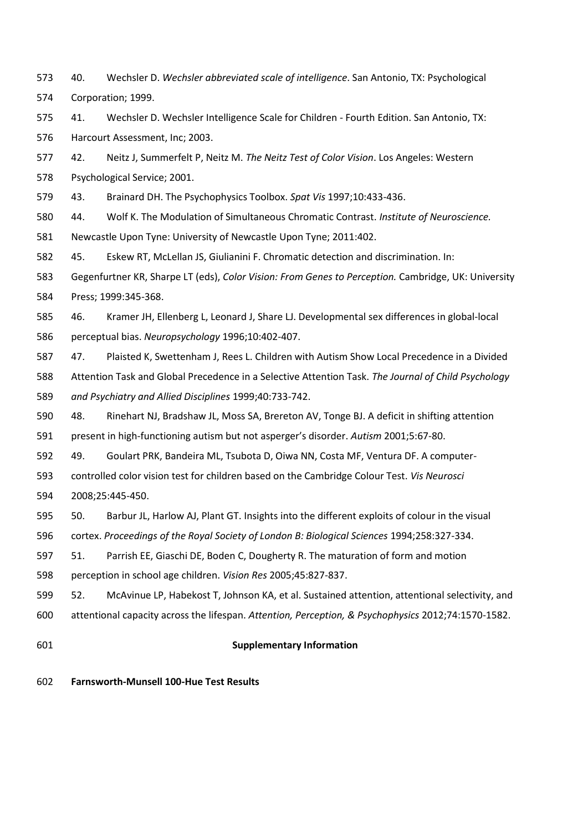- <span id="page-21-0"></span> 40. Wechsler D. *Wechsler abbreviated scale of intelligence*. San Antonio, TX: Psychological Corporation; 1999.
- <span id="page-21-1"></span> 41. Wechsler D. Wechsler Intelligence Scale for Children - Fourth Edition. San Antonio, TX: Harcourt Assessment, Inc; 2003.
- <span id="page-21-2"></span> 42. Neitz J, Summerfelt P, Neitz M. *The Neitz Test of Color Vision*. Los Angeles: Western Psychological Service; 2001.
- <span id="page-21-3"></span>43. Brainard DH. The Psychophysics Toolbox. *Spat Vis* 1997;10:433-436.
- <span id="page-21-4"></span> 44. Wolf K. The Modulation of Simultaneous Chromatic Contrast. *Institute of Neuroscience.*  Newcastle Upon Tyne: University of Newcastle Upon Tyne; 2011:402.
- <span id="page-21-5"></span>45. Eskew RT, McLellan JS, Giulianini F. Chromatic detection and discrimination. In:
- Gegenfurtner KR, Sharpe LT (eds), *Color Vision: From Genes to Perception.* Cambridge, UK: University Press; 1999:345-368.
- <span id="page-21-6"></span> 46. Kramer JH, Ellenberg L, Leonard J, Share LJ. Developmental sex differences in global-local perceptual bias. *Neuropsychology* 1996;10:402-407.
- <span id="page-21-7"></span> 47. Plaisted K, Swettenham J, Rees L. Children with Autism Show Local Precedence in a Divided Attention Task and Global Precedence in a Selective Attention Task. *The Journal of Child Psychology*
- *and Psychiatry and Allied Disciplines* 1999;40:733-742.
- <span id="page-21-8"></span>48. Rinehart NJ, Bradshaw JL, Moss SA, Brereton AV, Tonge BJ. A deficit in shifting attention
- present in high-functioning autism but not asperger's disorder. *Autism* 2001;5:67-80.
- <span id="page-21-9"></span>49. Goulart PRK, Bandeira ML, Tsubota D, Oiwa NN, Costa MF, Ventura DF. A computer-
- controlled color vision test for children based on the Cambridge Colour Test. *Vis Neurosci* 2008;25:445-450.
- <span id="page-21-10"></span>50. Barbur JL, Harlow AJ, Plant GT. Insights into the different exploits of colour in the visual
- cortex. *Proceedings of the Royal Society of London B: Biological Sciences* 1994;258:327-334.
- <span id="page-21-11"></span>51. Parrish EE, Giaschi DE, Boden C, Dougherty R. The maturation of form and motion
- perception in school age children. *Vision Res* 2005;45:827-837.
- <span id="page-21-12"></span> 52. McAvinue LP, Habekost T, Johnson KA, et al. Sustained attention, attentional selectivity, and attentional capacity across the lifespan. *Attention, Perception, & Psychophysics* 2012;74:1570-1582.
- 

## **Supplementary Information**

**Farnsworth-Munsell 100-Hue Test Results**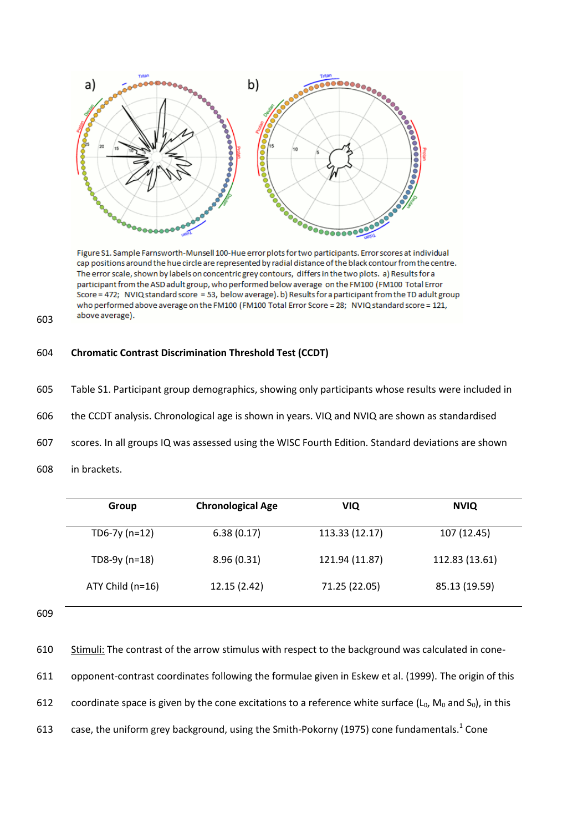

Figure S1. Sample Farnsworth-Munsell 100-Hue error plots for two participants. Error scores at individual cap positions around the hue circle are represented by radial distance of the black contour from the centre. The error scale, shown by labels on concentric grey contours, differs in the two plots. a) Results for a participant from the ASD adult group, who performed below average on the FM100 (FM100 Total Error Score = 472; NVIQ standard score = 53, below average). b) Results for a participant from the TD adult group who performed above average on the FM100 (FM100 Total Error Score = 28; NVIQ standard score = 121, above average).

# 604 **Chromatic Contrast Discrimination Threshold Test (CCDT)**

- 605 Table S1. Participant group demographics, showing only participants whose results were included in
- 606 the CCDT analysis. Chronological age is shown in years. VIQ and NVIQ are shown as standardised
- 607 scores. In all groups IQ was assessed using the WISC Fourth Edition. Standard deviations are shown
- 608 in brackets.

| <b>Chronological Age</b> | VIQ            | <b>NVIQ</b>    |
|--------------------------|----------------|----------------|
| 6.38(0.17)               | 113.33 (12.17) | 107 (12.45)    |
| 8.96(0.31)               | 121.94 (11.87) | 112.83 (13.61) |
| 12.15 (2.42)             | 71.25 (22.05)  | 85.13 (19.59)  |
|                          |                |                |

609

603

610 Stimuli: The contrast of the arrow stimulus with respect to the background was calculated in cone-611 opponent-contrast coordinates following the formulae given in Eskew et al. (1999). The origin of this 612 coordinate space is given by the cone excitations to a reference white surface ( $L_0$ ,  $M_0$  and  $S_0$ ), in this 613  $\phantom{1}$  case, the uniform grey background, using the Smith-Pokorny (1975) cone fundamentals.<sup>1</sup> Cone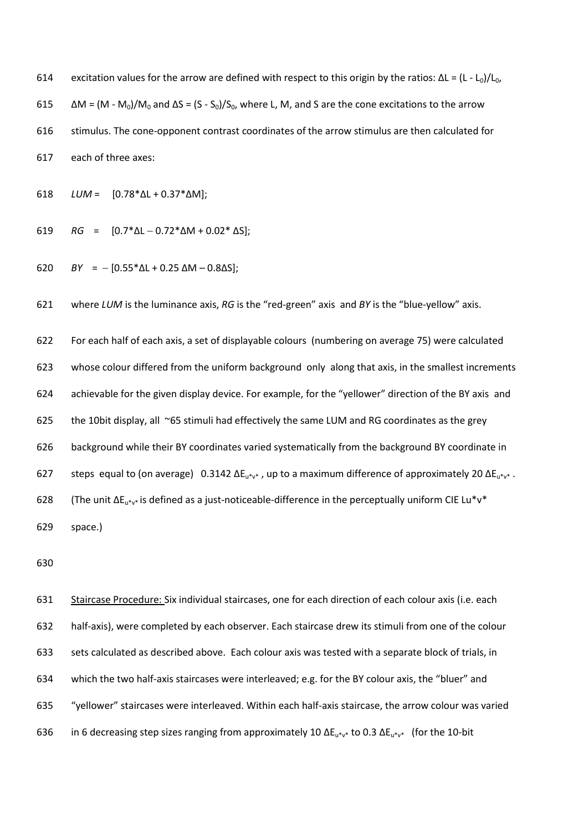614 excitation values for the arrow are defined with respect to this origin by the ratios:  $\Delta L = (L - L_0)/L_0$ ,  $\Delta M = (M - M_0)/M_0$  and  $\Delta S = (S - S_0)/S_0$ , where L, M, and S are the cone excitations to the arrow stimulus. The cone-opponent contrast coordinates of the arrow stimulus are then calculated for each of three axes:

*LUM* = [0.78\*ΔL + 0.37\*ΔM];

- 619 *RG* =  $[0.7 * \Delta L 0.72 * \Delta M + 0.02 * \Delta S]$ ;
- 620 *BY* =  $-[0.55 * \Delta L + 0.25 \Delta M 0.8 \Delta S]$ ;

where *LUM* is the luminance axis, *RG* is the "red-green" axis and *BY* is the "blue-yellow" axis.

 For each half of each axis, a set of displayable colours (numbering on average 75) were calculated whose colour differed from the uniform background only along that axis, in the smallest increments achievable for the given display device. For example, for the "yellower" direction of the BY axis and 625 the 10bit display, all  $\sim$ 65 stimuli had effectively the same LUM and RG coordinates as the grey background while their BY coordinates varied systematically from the background BY coordinate in 627 steps equal to (on average)  $0.3142 \Delta E_{u^*v^*}$ , up to a maximum difference of approximately 20  $\Delta E_{u^*v^*}$ . 628 (The unit  $\Delta E_{u^*v^*}$  is defined as a just-noticeable-difference in the perceptually uniform CIE Lu\*v\* space.)

 Staircase Procedure: Six individual staircases, one for each direction of each colour axis (i.e. each half-axis), were completed by each observer. Each staircase drew its stimuli from one of the colour sets calculated as described above. Each colour axis was tested with a separate block of trials, in which the two half-axis staircases were interleaved; e.g. for the BY colour axis, the "bluer" and "yellower" staircases were interleaved. Within each half-axis staircase, the arrow colour was varied 636 in 6 decreasing step sizes ranging from approximately 10  $\Delta E_{u^*v^*}$  to 0.3  $\Delta E_{u^*v^*}$  (for the 10-bit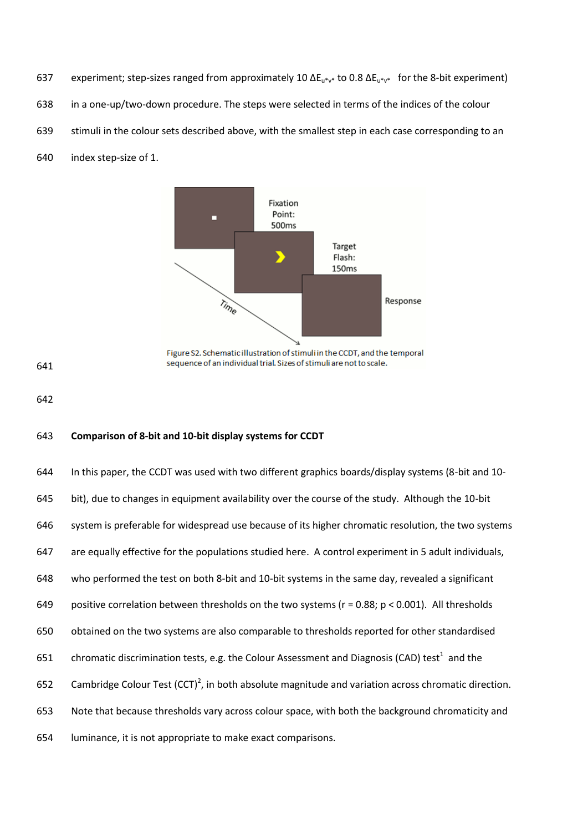- 637 experiment; step-sizes ranged from approximately 10 ΔE<sub>u\*v\*</sub> to 0.8 ΔE<sub>u\*v\*</sub> for the 8-bit experiment)
- in a one-up/two-down procedure. The steps were selected in terms of the indices of the colour
- stimuli in the colour sets described above, with the smallest step in each case corresponding to an
- index step-size of 1.



## **Comparison of 8-bit and 10-bit display systems for CCDT**

 In this paper, the CCDT was used with two different graphics boards/display systems (8-bit and 10- bit), due to changes in equipment availability over the course of the study. Although the 10-bit system is preferable for widespread use because of its higher chromatic resolution, the two systems are equally effective for the populations studied here. A control experiment in 5 adult individuals, who performed the test on both 8-bit and 10-bit systems in the same day, revealed a significant 649 positive correlation between thresholds on the two systems ( $r = 0.88$ ;  $p < 0.001$ ). All thresholds obtained on the two systems are also comparable to thresholds reported for other standardised 651 chromatic discrimination tests, e.g. the Colour Assessment and Diagnosis (CAD) test<sup>1</sup> and the 652 Cambridge Colour Test  $(CCT)^2$ , in both absolute magnitude and variation across chromatic direction. Note that because thresholds vary across colour space, with both the background chromaticity and luminance, it is not appropriate to make exact comparisons.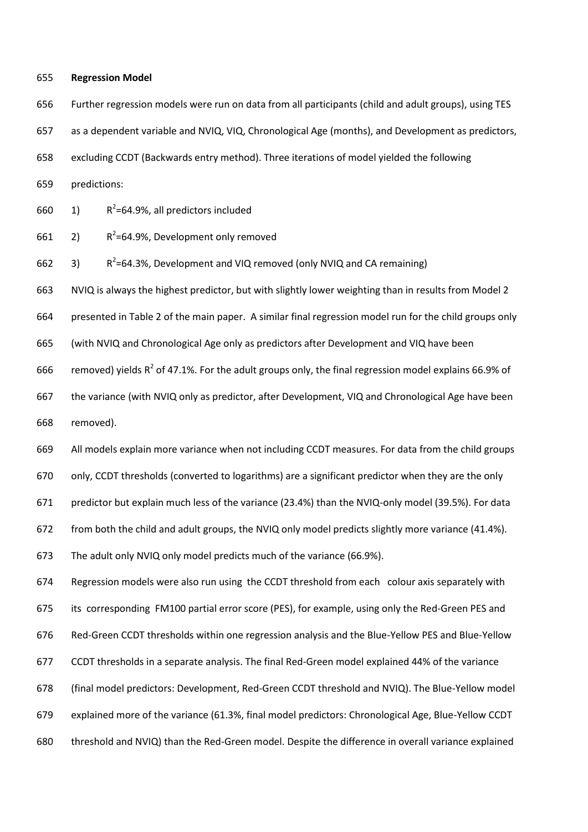#### **Regression Model**

Further regression models were run on data from all participants (child and adult groups), using TES

as a dependent variable and NVIQ, VIQ, Chronological Age (months), and Development as predictors,

excluding CCDT (Backwards entry method). Three iterations of model yielded the following

predictions:

 $1)$ 660  $\pi$  1) R<sup>2</sup>=64.9%, all predictors included

 $2)$ 661  $2)$   $R^2$ =64.9%, Development only removed

3) 662  $\rightarrow$  3) R<sup>2</sup>=64.3%, Development and VIQ removed (only NVIQ and CA remaining)

NVIQ is always the highest predictor, but with slightly lower weighting than in results from Model 2

presented in Table 2 of the main paper. A similar final regression model run for the child groups only

(with NVIQ and Chronological Age only as predictors after Development and VIQ have been

666 removed) yields  $R^2$  of 47.1%. For the adult groups only, the final regression model explains 66.9% of

 the variance (with NVIQ only as predictor, after Development, VIQ and Chronological Age have been removed).

All models explain more variance when not including CCDT measures. For data from the child groups

only, CCDT thresholds (converted to logarithms) are a significant predictor when they are the only

predictor but explain much less of the variance (23.4%) than the NVIQ-only model (39.5%). For data

from both the child and adult groups, the NVIQ only model predicts slightly more variance (41.4%).

The adult only NVIQ only model predicts much of the variance (66.9%).

 Regression models were also run using the CCDT threshold from each colour axis separately with its corresponding FM100 partial error score (PES), for example, using only the Red-Green PES and Red-Green CCDT thresholds within one regression analysis and the Blue-Yellow PES and Blue-Yellow CCDT thresholds in a separate analysis. The final Red-Green model explained 44% of the variance (final model predictors: Development, Red-Green CCDT threshold and NVIQ). The Blue-Yellow model explained more of the variance (61.3%, final model predictors: Chronological Age, Blue-Yellow CCDT threshold and NVIQ) than the Red-Green model. Despite the difference in overall variance explained